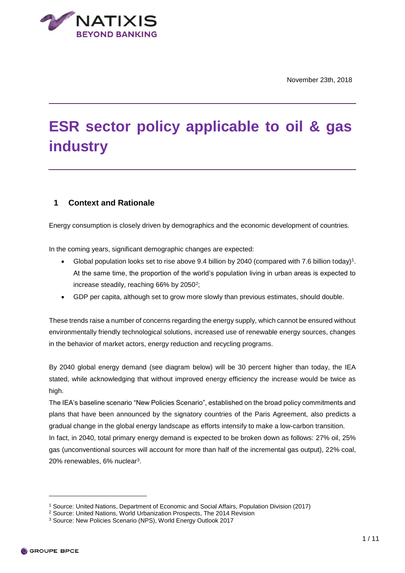

# **ESR sector policy applicable to oil & gas industry**

# **1 Context and Rationale**

Energy consumption is closely driven by demographics and the economic development of countries.

In the coming years, significant demographic changes are expected:

- Global population looks set to rise above 9.4 billion by 2040 (compared with 7.6 billion today)<sup>1</sup>. At the same time, the proportion of the world's population living in urban areas is expected to increase steadily, reaching 66% by 2050<sup>2</sup>;
- GDP per capita, although set to grow more slowly than previous estimates, should double.

These trends raise a number of concerns regarding the energy supply, which cannot be ensured without environmentally friendly technological solutions, increased use of renewable energy sources, changes in the behavior of market actors, energy reduction and recycling programs.

By 2040 global energy demand (see diagram below) will be 30 percent higher than today, the IEA stated, while acknowledging that without improved energy efficiency the increase would be twice as high.

The IEA's baseline scenario "New Policies Scenario", established on the broad policy commitments and plans that have been announced by the signatory countries of the Paris Agreement, also predicts a gradual change in the global energy landscape as efforts intensify to make a low-carbon transition.

In fact, in 2040, total primary energy demand is expected to be broken down as follows: 27% oil, 25% gas (unconventional sources will account for more than half of the incremental gas output), 22% coal, 20% renewables, 6% nuclear<sup>3</sup>.

<sup>1</sup> Source: United Nations, Department of Economic and Social Affairs, Population Division (2017)

<sup>2</sup> Source: United Nations, World Urbanization Prospects, The 2014 Revision

<sup>3</sup> Source: New Policies Scenario (NPS), World Energy Outlook 2017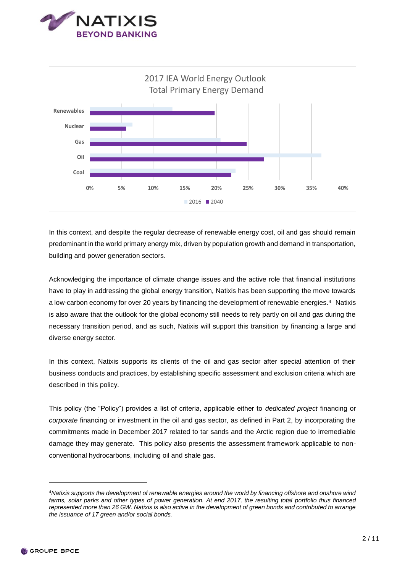



In this context, and despite the regular decrease of renewable energy cost, oil and gas should remain predominant in the world primary energy mix, driven by population growth and demand in transportation, building and power generation sectors.

Acknowledging the importance of climate change issues and the active role that financial institutions have to play in addressing the global energy transition, Natixis has been supporting the move towards a low-carbon economy for over 20 years by financing the development of renewable energies.<sup>4</sup> Natixis is also aware that the outlook for the global economy still needs to rely partly on oil and gas during the necessary transition period, and as such, Natixis will support this transition by financing a large and diverse energy sector.

In this context, Natixis supports its clients of the oil and gas sector after special attention of their business conducts and practices, by establishing specific assessment and exclusion criteria which are described in this policy.

This policy (the "Policy") provides a list of criteria, applicable either to *dedicated project* financing or *corporate* financing or investment in the oil and gas sector, as defined in Part 2, by incorporating the commitments made in December 2017 related to tar sands and the Arctic region due to irremediable damage they may generate. This policy also presents the assessment framework applicable to nonconventional hydrocarbons, including oil and shale gas.

<sup>4</sup>*Natixis supports the development of renewable energies around the world by financing offshore and onshore wind farms, solar parks and other types of power generation. At end 2017, the resulting total portfolio thus financed represented more than 26 GW. Natixis is also active in the development of green bonds and contributed to arrange the issuance of 17 green and/or social bonds.*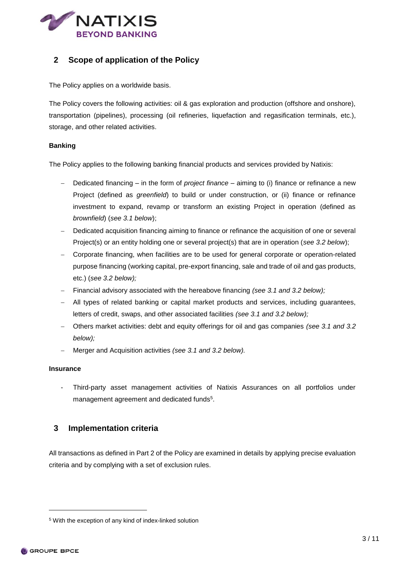

# **2 Scope of application of the Policy**

The Policy applies on a worldwide basis.

The Policy covers the following activities: oil & gas exploration and production (offshore and onshore), transportation (pipelines), processing (oil refineries, liquefaction and regasification terminals, etc.), storage, and other related activities.

#### **Banking**

The Policy applies to the following banking financial products and services provided by Natixis:

- Dedicated financing in the form of *project finance*  aiming to (i) finance or refinance a new Project (defined as *greenfield*) to build or under construction, or (ii) finance or refinance investment to expand, revamp or transform an existing Project in operation (defined as *brownfield*) (*see 3.1 below*);
- Dedicated acquisition financing aiming to finance or refinance the acquisition of one or several Project(s) or an entity holding one or several project(s) that are in operation (*see 3.2 below*);
- Corporate financing, when facilities are to be used for general corporate or operation-related purpose financing (working capital, pre-export financing, sale and trade of oil and gas products, etc.) (*see 3.2 below);*
- Financial advisory associated with the hereabove financing *(see 3.1 and 3.2 below);*
- All types of related banking or capital market products and services, including guarantees, letters of credit, swaps, and other associated facilities *(see 3.1 and 3.2 below);*
- Others market activities: debt and equity offerings for oil and gas companies *(see 3.1 and 3.2 below);*
- Merger and Acquisition activities *(see 3.1 and 3.2 below).*

#### **Insurance**

- Third-party asset management activities of Natixis Assurances on all portfolios under management agreement and dedicated funds<sup>5</sup>.

## **3 Implementation criteria**

All transactions as defined in Part 2 of the Policy are examined in details by applying precise evaluation criteria and by complying with a set of exclusion rules.

<sup>5</sup> With the exception of any kind of index-linked solution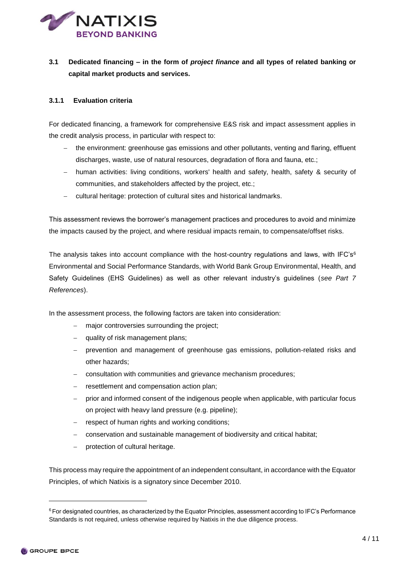

# **3.1 Dedicated financing – in the form of** *project finance* **and all types of related banking or capital market products and services.**

## **3.1.1 Evaluation criteria**

For dedicated financing, a framework for comprehensive E&S risk and impact assessment applies in the credit analysis process, in particular with respect to:

- the environment: greenhouse gas emissions and other pollutants, venting and flaring, effluent discharges, waste, use of natural resources, degradation of flora and fauna, etc.;
- human activities: living conditions, workers' health and safety, health, safety & security of communities, and stakeholders affected by the project, etc.;
- cultural heritage: protection of cultural sites and historical landmarks.

This assessment reviews the borrower's management practices and procedures to avoid and minimize the impacts caused by the project, and where residual impacts remain, to compensate/offset risks.

The analysis takes into account compliance with the host-country regulations and laws, with IFC's<sup>6</sup> Environmental and Social Performance Standards, with World Bank Group Environmental, Health, and Safety Guidelines (EHS Guidelines) as well as other relevant industry's guidelines (*see Part 7 References*).

In the assessment process, the following factors are taken into consideration:

- major controversies surrounding the project;
- quality of risk management plans;
- prevention and management of greenhouse gas emissions, pollution-related risks and other hazards;
- consultation with communities and grievance mechanism procedures;
- resettlement and compensation action plan;
- prior and informed consent of the indigenous people when applicable, with particular focus on project with heavy land pressure (e.g. pipeline);
- respect of human rights and working conditions:
- conservation and sustainable management of biodiversity and critical habitat;
- protection of cultural heritage.

This process may require the appointment of an independent consultant, in accordance with the Equator Principles, of which Natixis is a signatory since December 2010.

-

 $6$  For designated countries, as characterized by the Equator Principles, assessment according to IFC's Performance Standards is not required, unless otherwise required by Natixis in the due diligence process.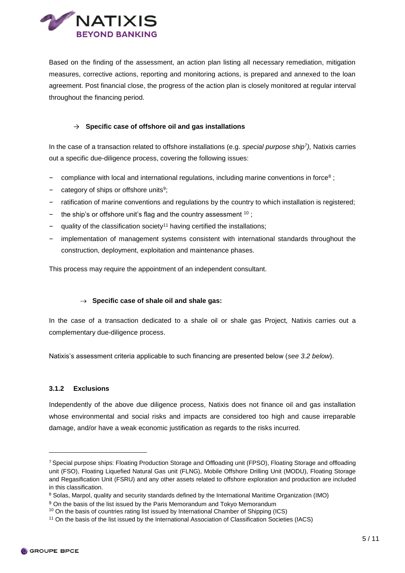

Based on the finding of the assessment, an action plan listing all necessary remediation, mitigation measures, corrective actions, reporting and monitoring actions, is prepared and annexed to the loan agreement. Post financial close, the progress of the action plan is closely monitored at regular interval throughout the financing period.

#### → **Specific case of offshore oil and gas installations**

In the case of a transaction related to offshore installations (e.g. *special purpose ship<sup>7</sup> ),* Natixis carries out a specific due-diligence process, covering the following issues:

- compliance with local and international regulations, including marine conventions in force<sup>8</sup>;
- category of ships or offshore units<sup>9</sup>;
- ratification of marine conventions and regulations by the country to which installation is registered;
- the ship's or offshore unit's flag and the country assessment  $10$ ;
- $-$  quality of the classification society<sup>11</sup> having certified the installations;
- ‒ implementation of management systems consistent with international standards throughout the construction, deployment, exploitation and maintenance phases.

This process may require the appointment of an independent consultant.

#### **Specific case of shale oil and shale gas:**

In the case of a transaction dedicated to a shale oil or shale gas Project*,* Natixis carries out a complementary due-diligence process.

Natixis's assessment criteria applicable to such financing are presented below (*see 3.2 below*).

#### **3.1.2 Exclusions**

Independently of the above due diligence process, Natixis does not finance oil and gas installation whose environmental and social risks and impacts are considered too high and cause irreparable damage, and/or have a weak economic justification as regards to the risks incurred.

<sup>7</sup> Special purpose ships: Floating Production Storage and Offloading unit (FPSO), Floating Storage and offloading unit (FSO), Floating Liquefied Natural Gas unit (FLNG), Mobile Offshore Drilling Unit (MODU), Floating Storage and Regasification Unit (FSRU) and any other assets related to offshore exploration and production are included in this classification.

<sup>&</sup>lt;sup>8</sup> Solas, Marpol, quality and security standards defined by the International Maritime Organization (IMO)

<sup>&</sup>lt;sup>9</sup> On the basis of the list issued by the Paris Memorandum and Tokyo Memorandum

<sup>10</sup> On the basis of countries rating list issued by International Chamber of Shipping (ICS)

<sup>11</sup> On the basis of the list issued by the International Association of Classification Societies (IACS)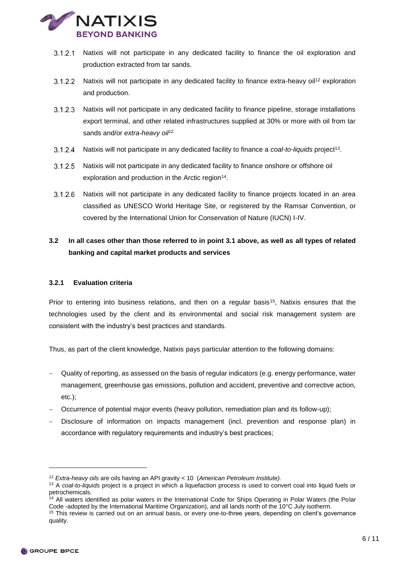

- 3.1.2.1 Natixis will not participate in any dedicated facility to finance the oil exploration and production extracted from tar sands.
- <span id="page-5-0"></span> $3.1.2.2$ Natixis will not participate in any dedicated facility to finance extra-heavy oil<sup>12</sup> exploration and production.
- $3.1.2.3$ Natixis will not participate in any dedicated facility to finance pipeline, storage installations export terminal, and other related infrastructures supplied at 30% or more with oil from tar sands and/or *extra-heavy oil[12](#page-5-0)*.
- $3.1.2.4$ Natixis will not participate in any dedicated facility to finance a *coal-to-liquids* project<sup>13</sup>.
- $3.1.2.5$ Natixis will not participate in any dedicated facility to finance onshore or offshore oil exploration and production in the Arctic region<sup>14</sup>.
- $3.1.2.6$ Natixis will not participate in any dedicated facility to finance projects located in an area classified as UNESCO World Heritage Site, or registered by the Ramsar Convention, or covered by the International Union for Conservation of Nature (IUCN) I-IV.

# **3.2 In all cases other than those referred to in point 3.1 above, as well as all types of related banking and capital market products and services**

## **3.2.1 Evaluation criteria**

Prior to entering into business relations, and then on a regular basis<sup>15</sup>. Natixis ensures that the technologies used by the client and its environmental and social risk management system are consistent with the industry's best practices and standards.

Thus, as part of the client knowledge, Natixis pays particular attention to the following domains:

- Quality of reporting, as assessed on the basis of regular indicators (e.g. energy performance, water management, greenhouse gas emissions, pollution and accident, preventive and corrective action, etc.);
- Occurrence of potential major events (heavy pollution, remediation plan and its follow-up);
- Disclosure of information on impacts management (incl. prevention and response plan) in accordance with regulatory requirements and industry's best practices;

-

<sup>12</sup> *Extra-heavy oils* are oils having an API gravity < 10 (*American Petroleum Institute).*

<sup>13</sup> A *coal-to-liquids* project is a project in which a liquefaction process is used to convert coal into liquid fuels or petrochemicals.

<sup>&</sup>lt;sup>14</sup> All waters identified as polar waters in the International Code for Ships Operating in Polar Waters (the Polar Code -adopted by the International Maritime Organization), and all lands north of the 10°C July isotherm.

<sup>&</sup>lt;sup>15</sup> This review is carried out on an annual basis, or every one-to-three years, depending on client's governance quality.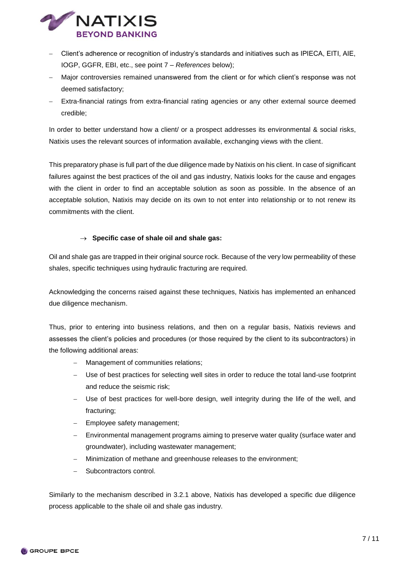

- Client's adherence or recognition of industry's standards and initiatives such as IPIECA, EITI, AIE, IOGP, GGFR, EBI, etc., see point 7 – *References* below);
- Major controversies remained unanswered from the client or for which client's response was not deemed satisfactory;
- Extra-financial ratings from extra-financial rating agencies or any other external source deemed credible;

In order to better understand how a client/ or a prospect addresses its environmental & social risks, Natixis uses the relevant sources of information available, exchanging views with the client.

This preparatory phase is full part of the due diligence made by Natixis on his client. In case of significant failures against the best practices of the oil and gas industry, Natixis looks for the cause and engages with the client in order to find an acceptable solution as soon as possible. In the absence of an acceptable solution, Natixis may decide on its own to not enter into relationship or to not renew its commitments with the client.

#### **Specific case of shale oil and shale gas:**

Oil and shale gas are trapped in their original source rock. Because of the very low permeability of these shales, specific techniques using hydraulic fracturing are required.

Acknowledging the concerns raised against these techniques, Natixis has implemented an enhanced due diligence mechanism.

Thus, prior to entering into business relations, and then on a regular basis, Natixis reviews and assesses the client's policies and procedures (or those required by the client to its subcontractors) in the following additional areas:

- Management of communities relations;
- Use of best practices for selecting well sites in order to reduce the total land-use footprint and reduce the seismic risk;
- Use of best practices for well-bore design, well integrity during the life of the well, and fracturing;
- $-$  Employee safety management;
- Environmental management programs aiming to preserve water quality (surface water and groundwater), including wastewater management;
- Minimization of methane and greenhouse releases to the environment;
- Subcontractors control.

Similarly to the mechanism described in 3.2.1 above, Natixis has developed a specific due diligence process applicable to the shale oil and shale gas industry.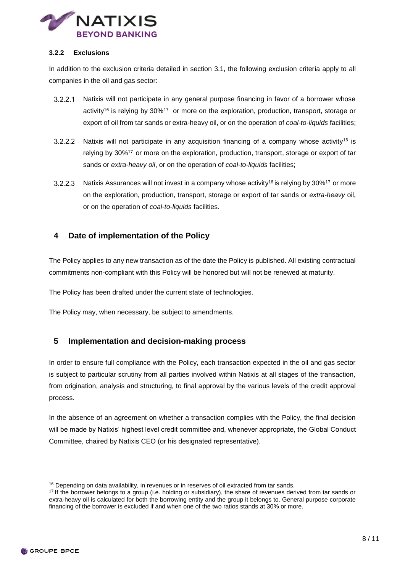

#### **3.2.2 Exclusions**

In addition to the exclusion criteria detailed in section 3.1, the following exclusion criteria apply to all companies in the oil and gas sector:

- <span id="page-7-1"></span><span id="page-7-0"></span> $3.2.2.1$ Natixis will not participate in any general purpose financing in favor of a borrower whose activity<sup>16</sup> is relying by 30%<sup>17</sup> or more on the exploration, production, transport, storage or export of oil from tar sands or extra-heavy oil, or on the operation of *coal-to-liquids* facilities;
- $3.2.2.2$ Natixis will not participate in any acquisition financing of a company whose activity<sup>[16](#page-7-0)</sup> is relying by 30%<sup>17</sup> or more on the exploration, production, transport, storage or export of tar sands or *extra-heavy oil*, or on the operation of *coal-to-liquids* facilities;
- $3.2.2.3$ Natixis Assurances will not invest in a company whose activity<sup>[16](#page-7-0)</sup> is relying by 30%<sup>17</sup> or more on the exploration, production, transport, storage or export of tar sands or *extra-heavy* oil, or on the operation of *coal-to-liquids* facilities*.*

# **4 Date of implementation of the Policy**

The Policy applies to any new transaction as of the date the Policy is published. All existing contractual commitments non-compliant with this Policy will be honored but will not be renewed at maturity.

The Policy has been drafted under the current state of technologies.

The Policy may, when necessary, be subject to amendments.

## **5 Implementation and decision-making process**

In order to ensure full compliance with the Policy, each transaction expected in the oil and gas sector is subject to particular scrutiny from all parties involved within Natixis at all stages of the transaction, from origination, analysis and structuring, to final approval by the various levels of the credit approval process.

In the absence of an agreement on whether a transaction complies with the Policy, the final decision will be made by Natixis' highest level credit committee and, whenever appropriate, the Global Conduct Committee, chaired by Natixis CEO (or his designated representative).

-

<sup>&</sup>lt;sup>16</sup> Depending on data availability, in revenues or in reserves of oil extracted from tar sands.

<sup>&</sup>lt;sup>17</sup> If the borrower belongs to a group (i.e. holding or subsidiary), the share of revenues derived from tar sands or extra-heavy oil is calculated for both the borrowing entity and the group it belongs to. General purpose corporate financing of the borrower is excluded if and when one of the two ratios stands at 30% or more.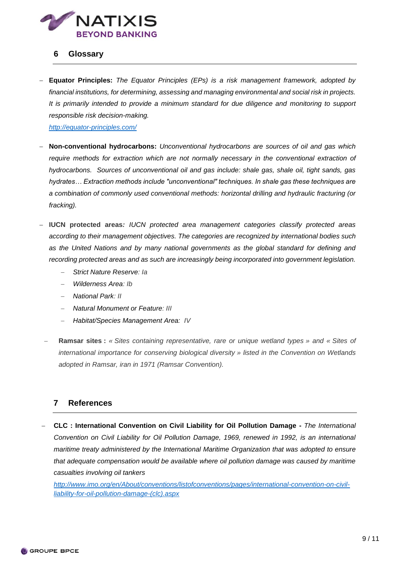

## **6 Glossary**

 **Equator Principles:** *The Equator Principles (EPs) is a risk management framework, adopted by financial institutions, for determining, assessing and managing environmental and social risk in projects. It is primarily intended to provide a minimum standard for due diligence and monitoring to support responsible risk decision-making.*

*http://equator-principles.com/* 

- **Non-conventional hydrocarbons:** *Unconventional hydrocarbons are sources of oil and gas which*  require methods for extraction which are not normally necessary in the conventional extraction of *hydrocarbons. Sources of unconventional oil and gas include: shale gas, shale oil, tight sands, gas hydrates… Extraction methods include "unconventional" techniques. In shale gas these techniques are a combination of commonly used conventional methods: horizontal drilling and hydraulic fracturing (or fracking).*
- **IUCN protected areas***: IUCN protected area management categories classify protected areas according to their management objectives. The categories are recognized by international bodies such as the United Nations and by many national governments as the global standard for defining and recording protected areas and as such are increasingly being incorporated into government legislation.*
	- *Strict Nature Reserve: Ia*
	- *Wilderness Area: Ib*
	- *National Park: II*
	- *Natural Monument or Feature: III*
	- *Habitat/Species Management Area: IV*
	- **Ramsar sites :** *« Sites containing representative, rare or unique wetland types » and « Sites of international importance for conserving biological diversity » listed in the Convention on Wetlands adopted in Ramsar, iran in 1971 (Ramsar Convention).*

## **7 References**

 **CLC : International Convention on Civil Liability for Oil Pollution Damage -** *The International Convention on Civil Liability for Oil Pollution Damage, 1969, renewed in 1992, is an international maritime treaty administered by the International Maritime Organization that was adopted to ensure that adequate compensation would be available where oil pollution damage was caused by maritime casualties involving oil tankers*

*[http://www.imo.org/en/About/conventions/listofconventions/pages/international-convention-on-civil](http://www.imo.org/en/About/conventions/listofconventions/pages/international-convention-on-civil-liability-for-oil-pollution-damage-(clc).aspx)[liability-for-oil-pollution-damage-\(clc\).aspx](http://www.imo.org/en/About/conventions/listofconventions/pages/international-convention-on-civil-liability-for-oil-pollution-damage-(clc).aspx)*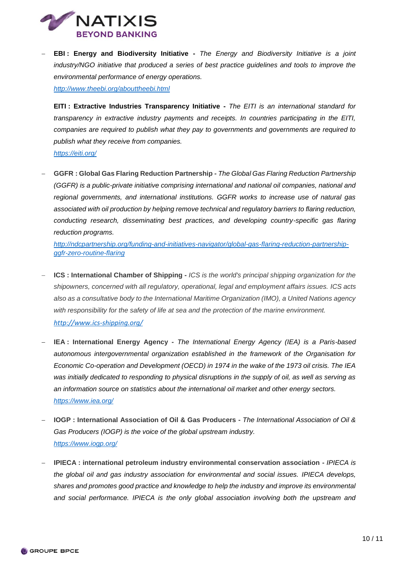

 **EBI : Energy and Biodiversity Initiative -** *The Energy and Biodiversity Initiative is a joint*  industry/NGO initiative that produced a series of best practice quidelines and tools to improve the *environmental performance of energy operations.*

*<http://www.theebi.org/abouttheebi.html>*

**EITI : Extractive Industries Transparency Initiative -** *The EITI is an international standard for transparency in extractive industry payments and receipts. In countries participating in the EITI, companies are required to publish what they pay to governments and governments are required to publish what they receive from companies.* 

*<https://eiti.org/>*

 **GGFR : Global Gas Flaring Reduction Partnership -** *The Global Gas Flaring Reduction Partnership (GGFR) is a public-private initiative comprising international and national oil companies, national and regional governments, and international institutions. GGFR works to increase use of natural gas associated with oil production by helping remove technical and regulatory barriers to flaring reduction, conducting research, disseminating best practices, and developing country-specific gas flaring reduction programs.*

*[http://ndcpartnership.org/funding-and-initiatives-navigator/global-gas-flaring-reduction-partnership](http://ndcpartnership.org/funding-and-initiatives-navigator/global-gas-flaring-reduction-partnership-ggfr-zero-routine-flaring)[ggfr-zero-routine-flaring](http://ndcpartnership.org/funding-and-initiatives-navigator/global-gas-flaring-reduction-partnership-ggfr-zero-routine-flaring)*

- **ICS : International Chamber of Shipping -** *ICS is the world's principal shipping organization for the shipowners, concerned with all regulatory, operational, legal and employment affairs issues. ICS acts also as a consultative body to the International Maritime Organization (IMO), a United Nations agency with responsibility for the safety of life at sea and the protection of the marine environment. http://www.ics-shipping.org/*
- **IEA : International Energy Agency -** *The International Energy Agency (IEA) is a Paris-based autonomous intergovernmental organization established in the framework of the Organisation for Economic Co-operation and Development (OECD) in 1974 in the wake of the 1973 oil crisis. The IEA was initially dedicated to responding to physical disruptions in the supply of oil, as well as serving as an information source on statistics about the international oil market and other energy sectors. <https://www.iea.org/>*
- **IOGP : International Association of Oil & Gas Producers -** *The International Association of Oil & Gas Producers (IOGP) is the voice of the global upstream industry. <https://www.iogp.org/>*
- **IPIECA : international petroleum industry environmental conservation association -** *IPIECA is the global oil and gas industry association for environmental and social issues. IPIECA develops, shares and promotes good practice and knowledge to help the industry and improve its environmental and social performance. IPIECA is the only global association involving both the upstream and*